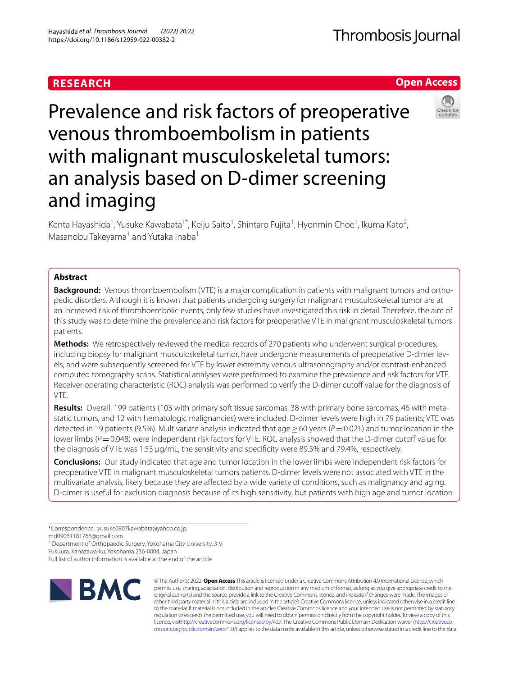## **RESEARCH**

Hayashida *et al. Thrombosis Journal (2022) 20:22*  https://doi.org/10.1186/s12959-022-00382-2

# Prevalence and risk factors of preoperative venous thromboembolism in patients with malignant musculoskeletal tumors: an analysis based on D-dimer screening and imaging

Kenta Hayashida<sup>1</sup>, Yusuke Kawabata<sup>1\*</sup>, Keiju Saito<sup>1</sup>, Shintaro Fujita<sup>1</sup>, Hyonmin Choe<sup>1</sup>, Ikuma Kato<sup>2</sup>, Masanobu Takeyama<sup>1</sup> and Yutaka Inaba<sup>1</sup>

## **Abstract**

**Background:** Venous thromboembolism (VTE) is a major complication in patients with malignant tumors and orthopedic disorders. Although it is known that patients undergoing surgery for malignant musculoskeletal tumor are at an increased risk of thromboembolic events, only few studies have investigated this risk in detail. Therefore, the aim of this study was to determine the prevalence and risk factors for preoperative VTE in malignant musculoskeletal tumors patients.

**Methods:** We retrospectively reviewed the medical records of 270 patients who underwent surgical procedures, including biopsy for malignant musculoskeletal tumor, have undergone measurements of preoperative D-dimer levels, and were subsequently screened for VTE by lower extremity venous ultrasonography and/or contrast-enhanced computed tomography scans. Statistical analyses were performed to examine the prevalence and risk factors for VTE. Receiver operating characteristic (ROC) analysis was performed to verify the D-dimer cutof value for the diagnosis of VTE.

**Results:** Overall, 199 patients (103 with primary soft tissue sarcomas, 38 with primary bone sarcomas, 46 with metastatic tumors, and 12 with hematologic malignancies) were included. D-dimer levels were high in 79 patients; VTE was detected in 19 patients (9.5%). Multivariate analysis indicated that age≥60 years (*P*=0.021) and tumor location in the lower limbs (*P*=0.048) were independent risk factors for VTE. ROC analysis showed that the D-dimer cutoff value for the diagnosis of VTE was 1.53 µg/mL; the sensitivity and specifcity were 89.5% and 79.4%, respectively.

**Conclusions:** Our study indicated that age and tumor location in the lower limbs were independent risk factors for preoperative VTE in malignant musculoskeletal tumors patients. D-dimer levels were not associated with VTE in the multivariate analysis, likely because they are afected by a wide variety of conditions, such as malignancy and aging. D-dimer is useful for exclusion diagnosis because of its high sensitivity, but patients with high age and tumor location

md09061181766@gmail.com

<sup>1</sup> Department of Orthopaedic Surgery, Yokohama City University, 3-9

Fukuura, Kanazawa-ku, Yokohama 236-0004, Japan

Full list of author information is available at the end of the article







© The Author(s) 2022. **Open Access** This article is licensed under a Creative Commons Attribution 4.0 International License, which permits use, sharing, adaptation, distribution and reproduction in any medium or format, as long as you give appropriate credit to the original author(s) and the source, provide a link to the Creative Commons licence, and indicate if changes were made. The images or other third party material in this article are included in the article's Creative Commons licence, unless indicated otherwise in a credit line to the material. If material is not included in the article's Creative Commons licence and your intended use is not permitted by statutory regulation or exceeds the permitted use, you will need to obtain permission directly from the copyright holder. To view a copy of this licence, visi[thttp://creativecommons.org/licenses/by/4.0/](http://creativecommons.org/licenses/by/4.0/). The Creative Commons Public Domain Dedication waiver [\(http://creativeco](http://creativecommons.org/publicdomain/zero/1.0/) [mmons.org/publicdomain/zero/1.0/](http://creativecommons.org/publicdomain/zero/1.0/)) applies to the data made available in this article, unless otherwise stated in a credit line to the data.

<sup>\*</sup>Correspondence: yusuke0807kawabata@yahoo.co.jp;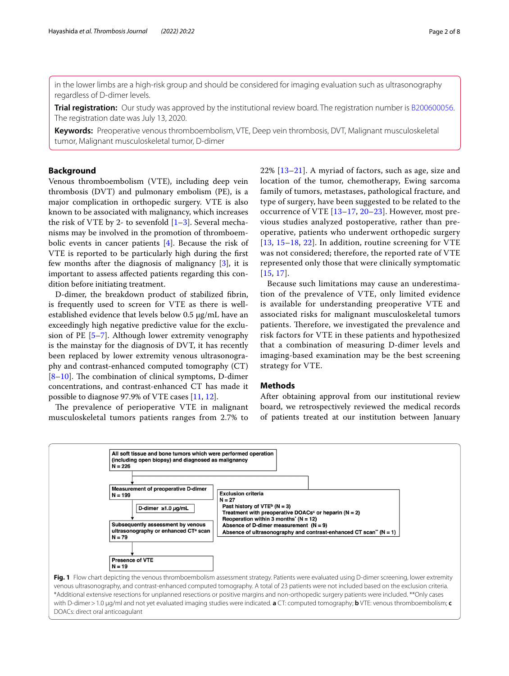in the lower limbs are a high-risk group and should be considered for imaging evaluation such as ultrasonography regardless of D-dimer levels.

**Trial registration:** Our study was approved by the institutional review board. The registration number is [B200600056.](https://yokohama-cu.bvits.com/rinri/publish.aspx) The registration date was July 13, 2020.

**Keywords:** Preoperative venous thromboembolism, VTE, Deep vein thrombosis, DVT, Malignant musculoskeletal tumor, Malignant musculoskeletal tumor, D-dimer

## **Background**

Venous thromboembolism (VTE), including deep vein thrombosis (DVT) and pulmonary embolism (PE), is a major complication in orthopedic surgery. VTE is also known to be associated with malignancy, which increases the risk of VTE by 2- to sevenfold  $[1-3]$  $[1-3]$ . Several mechanisms may be involved in the promotion of thromboembolic events in cancer patients [\[4](#page-6-2)]. Because the risk of VTE is reported to be particularly high during the frst few months after the diagnosis of malignancy [[3\]](#page-6-1), it is important to assess afected patients regarding this condition before initiating treatment.

D-dimer, the breakdown product of stabilized fbrin, is frequently used to screen for VTE as there is wellestablished evidence that levels below 0.5 µg/mL have an exceedingly high negative predictive value for the exclusion of PE [[5–](#page-6-3)[7\]](#page-6-4). Although lower extremity venography is the mainstay for the diagnosis of DVT, it has recently been replaced by lower extremity venous ultrasonography and contrast-enhanced computed tomography (CT)  $[8-10]$  $[8-10]$ . The combination of clinical symptoms, D-dimer concentrations, and contrast-enhanced CT has made it possible to diagnose 97.9% of VTE cases [\[11,](#page-6-7) [12](#page-6-8)].

The prevalence of perioperative VTE in malignant musculoskeletal tumors patients ranges from 2.7% to 22% [[13](#page-6-9)[–21](#page-6-10)]. A myriad of factors, such as age, size and location of the tumor, chemotherapy, Ewing sarcoma family of tumors, metastases, pathological fracture, and type of surgery, have been suggested to be related to the occurrence of VTE [\[13](#page-6-9)[–17,](#page-6-11) [20](#page-6-12)–[23\]](#page-6-13). However, most previous studies analyzed postoperative, rather than preoperative, patients who underwent orthopedic surgery [[13](#page-6-9), [15–](#page-6-14)[18,](#page-6-15) [22](#page-6-16)]. In addition, routine screening for VTE was not considered; therefore, the reported rate of VTE represented only those that were clinically symptomatic [[15](#page-6-14), [17](#page-6-11)].

Because such limitations may cause an underestimation of the prevalence of VTE, only limited evidence is available for understanding preoperative VTE and associated risks for malignant musculoskeletal tumors patients. Therefore, we investigated the prevalence and risk factors for VTE in these patients and hypothesized that a combination of measuring D-dimer levels and imaging-based examination may be the best screening strategy for VTE.

## **Methods**

After obtaining approval from our institutional review board, we retrospectively reviewed the medical records of patients treated at our institution between January

<span id="page-1-0"></span>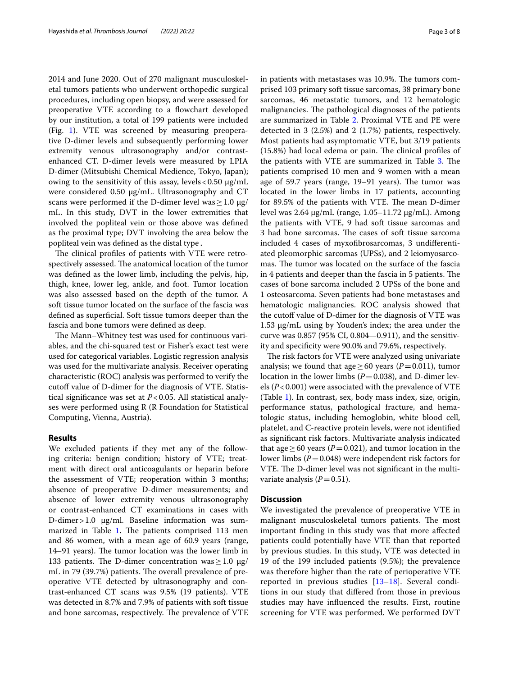2014 and June 2020. Out of 270 malignant musculoskeletal tumors patients who underwent orthopedic surgical procedures, including open biopsy, and were assessed for preoperative VTE according to a flowchart developed by our institution, a total of 199 patients were included (Fig. [1\)](#page-1-0). VTE was screened by measuring preoperative D-dimer levels and subsequently performing lower extremity venous ultrasonography and/or contrastenhanced CT. D-dimer levels were measured by LPIA D-dimer (Mitsubishi Chemical Medience, Tokyo, Japan); owing to the sensitivity of this assay, levels  $< 0.50 \mu g/mL$ were considered 0.50 μg/mL. Ultrasonography and CT scans were performed if the D-dimer level was  $\geq 1.0 \text{ µg}/$ mL. In this study, DVT in the lower extremities that involved the popliteal vein or those above was defned as the proximal type; DVT involving the area below the popliteal vein was defned as the distal type.

The clinical profiles of patients with VTE were retrospectively assessed. The anatomical location of the tumor was defned as the lower limb, including the pelvis, hip, thigh, knee, lower leg, ankle, and foot. Tumor location was also assessed based on the depth of the tumor. A soft tissue tumor located on the surface of the fascia was defned as superfcial. Soft tissue tumors deeper than the fascia and bone tumors were defned as deep.

The Mann–Whitney test was used for continuous variables, and the chi-squared test or Fisher's exact test were used for categorical variables. Logistic regression analysis was used for the multivariate analysis. Receiver operating characteristic (ROC) analysis was performed to verify the cutoff value of D-dimer for the diagnosis of VTE. Statistical signifcance was set at *P*<0.05. All statistical analyses were performed using R (R Foundation for Statistical Computing, Vienna, Austria).

## **Results**

We excluded patients if they met any of the following criteria: benign condition; history of VTE; treatment with direct oral anticoagulants or heparin before the assessment of VTE; reoperation within 3 months; absence of preoperative D-dimer measurements; and absence of lower extremity venous ultrasonography or contrast-enhanced CT examinations in cases with D-dimer>1.0 μg/ml. Baseline information was sum-marized in Table [1.](#page-3-0) The patients comprised 113 men and 86 women, with a mean age of 60.9 years (range, 14–91 years). The tumor location was the lower limb in 133 patients. The D-dimer concentration was  $\geq$  1.0  $\mu$ g/ mL in 79 (39.7%) patients. The overall prevalence of preoperative VTE detected by ultrasonography and contrast-enhanced CT scans was 9.5% (19 patients). VTE was detected in 8.7% and 7.9% of patients with soft tissue and bone sarcomas, respectively. The prevalence of VTE in patients with metastases was 10.9%. The tumors comprised 103 primary soft tissue sarcomas, 38 primary bone sarcomas, 46 metastatic tumors, and 12 hematologic malignancies. The pathological diagnoses of the patients are summarized in Table [2](#page-4-0). Proximal VTE and PE were detected in 3 (2.5%) and 2 (1.7%) patients, respectively. Most patients had asymptomatic VTE, but 3/19 patients  $(15.8%)$  had local edema or pain. The clinical profiles of the patients with VTE are summarized in Table [3](#page-5-0). The patients comprised 10 men and 9 women with a mean age of 59.7 years (range,  $19-91$  years). The tumor was located in the lower limbs in 17 patients, accounting for 89.5% of the patients with VTE. The mean D-dimer level was 2.64 µg/mL (range, 1.05–11.72 µg/mL). Among the patients with VTE, 9 had soft tissue sarcomas and 3 had bone sarcomas. The cases of soft tissue sarcoma included 4 cases of myxofbrosarcomas, 3 undiferentiated pleomorphic sarcomas (UPSs), and 2 leiomyosarcomas. The tumor was located on the surface of the fascia in 4 patients and deeper than the fascia in 5 patients. The cases of bone sarcoma included 2 UPSs of the bone and 1 osteosarcoma. Seven patients had bone metastases and hematologic malignancies. ROC analysis showed that the cutoff value of D-dimer for the diagnosis of VTE was 1.53 µg/mL using by Youden's index; the area under the curve was 0.857 (95% CI, 0.804—0.911), and the sensitivity and specifcity were 90.0% and 79.6%, respectively.

The risk factors for VTE were analyzed using univariate analysis; we found that age  $\geq 60$  years (*P*=0.011), tumor location in the lower limbs ( $P=0.038$ ), and D-dimer levels (*P*<0.001) were associated with the prevalence of VTE (Table [1](#page-3-0)). In contrast, sex, body mass index, size, origin, performance status, pathological fracture, and hematologic status, including hemoglobin, white blood cell, platelet, and C-reactive protein levels, were not identifed as signifcant risk factors. Multivariate analysis indicated that age  $\geq 60$  years (*P*=0.021), and tumor location in the lower limbs (*P*=0.048) were independent risk factors for VTE. The D-dimer level was not significant in the multivariate analysis  $(P=0.51)$ .

#### **Discussion**

We investigated the prevalence of preoperative VTE in malignant musculoskeletal tumors patients. The most important fnding in this study was that more afected patients could potentially have VTE than that reported by previous studies. In this study, VTE was detected in 19 of the 199 included patients (9.5%); the prevalence was therefore higher than the rate of perioperative VTE reported in previous studies [\[13](#page-6-9)[–18](#page-6-15)]. Several conditions in our study that difered from those in previous studies may have infuenced the results. First, routine screening for VTE was performed. We performed DVT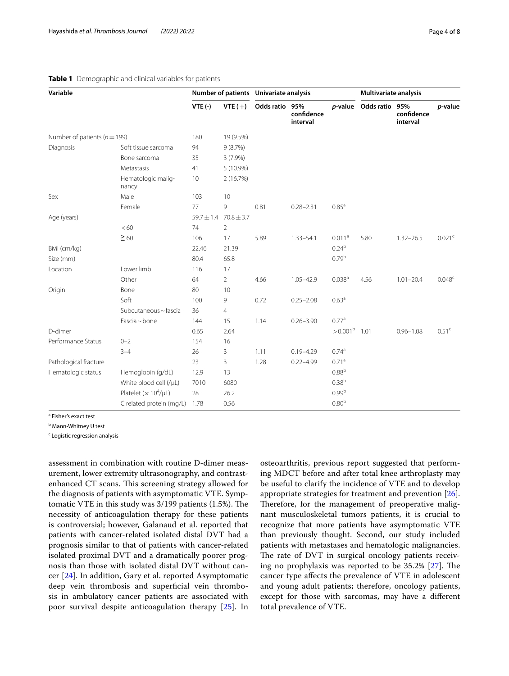| Variable                         |                                          | Number of patients Univariate analysis |                |                |                        |                       | <b>Multivariate analysis</b> |                        |                   |
|----------------------------------|------------------------------------------|----------------------------------------|----------------|----------------|------------------------|-----------------------|------------------------------|------------------------|-------------------|
|                                  |                                          | $VTE$ (-)                              | VTE $(+)$      | Odds ratio 95% | confidence<br>interval | <i>p</i> -value       | Odds ratio 95%               | confidence<br>interval | p-value           |
| Number of patients ( $n = 199$ ) |                                          | 180                                    | 19 (9.5%)      |                |                        |                       |                              |                        |                   |
| Diagnosis                        | Soft tissue sarcoma                      | 94                                     | 9(8.7%)        |                |                        |                       |                              |                        |                   |
|                                  | Bone sarcoma                             | 35                                     | $3(7.9\%)$     |                |                        |                       |                              |                        |                   |
|                                  | Metastasis                               | 41                                     | 5 (10.9%)      |                |                        |                       |                              |                        |                   |
|                                  | Hematologic malig-<br>nancy              | 10                                     | 2 (16.7%)      |                |                        |                       |                              |                        |                   |
| Sex                              | Male                                     | 103                                    | 10             |                |                        |                       |                              |                        |                   |
|                                  | Female                                   | 77                                     | 9              | 0.81           | $0.28 - 2.31$          | 0.85 <sup>a</sup>     |                              |                        |                   |
| Age (years)                      |                                          | $59.7 \pm 1.4$                         | $70.8 \pm 3.7$ |                |                        |                       |                              |                        |                   |
|                                  | <60                                      | 74                                     | $\overline{2}$ |                |                        |                       |                              |                        |                   |
|                                  | $\geq 60$                                | 106                                    | 17             | 5.89           | $1.33 - 54.1$          | 0.011 <sup>a</sup>    | 5.80                         | $1.32 - 26.5$          | 0.021c            |
| BMI (cm/kg)                      |                                          | 22.46                                  | 21.39          |                |                        | $0.24^{b}$            |                              |                        |                   |
| Size (mm)                        |                                          | 80.4                                   | 65.8           |                |                        | 0.79 <sup>b</sup>     |                              |                        |                   |
| Location                         | Lower limb                               | 116                                    | 17             |                |                        |                       |                              |                        |                   |
|                                  | Other                                    | 64                                     | 2              | 4.66           | $1.05 - 42.9$          | 0.038 <sup>a</sup>    | 4.56                         | $1.01 - 20.4$          | 0.048c            |
| Origin                           | Bone                                     | 80                                     | 10             |                |                        |                       |                              |                        |                   |
|                                  | Soft                                     | 100                                    | 9              | 0.72           | $0.25 - 2.08$          | 0.63 <sup>a</sup>     |                              |                        |                   |
|                                  | Subcutaneous ~ fascia                    | 36                                     | 4              |                |                        |                       |                              |                        |                   |
|                                  | Fascia ~ bone                            | 144                                    | 15             | 1.14           | $0.26 - 3.90$          | 0.77 <sup>a</sup>     |                              |                        |                   |
| D-dimer                          |                                          | 0.65                                   | 2.64           |                |                        | $>0.001^{\rm b}$ 1.01 |                              | $0.96 - 1.08$          | 0.51 <sup>c</sup> |
| Performance Status               | $0 - 2$                                  | 154                                    | 16             |                |                        |                       |                              |                        |                   |
|                                  | $3 - 4$                                  | 26                                     | 3              | 1.11           | $0.19 - 4.29$          | 0.74 <sup>a</sup>     |                              |                        |                   |
| Pathological fracture            |                                          | 23                                     | 3              | 1.28           | $0.22 - 4.99$          | 0.71 <sup>a</sup>     |                              |                        |                   |
| Hematologic status               | Hemoglobin (g/dL)                        | 12.9                                   | 13             |                |                        | 0.88 <sup>b</sup>     |                              |                        |                   |
|                                  | White blood cell (/µL)                   | 7010                                   | 6080           |                |                        | $0.38^{b}$            |                              |                        |                   |
|                                  | Platelet ( $\times$ 10 <sup>4</sup> /µL) | 28                                     | 26.2           |                |                        | 0.99 <sup>b</sup>     |                              |                        |                   |
|                                  | C related protein (mg/L)                 | 1.78                                   | 0.56           |                |                        | 0.80 <sup>b</sup>     |                              |                        |                   |

## <span id="page-3-0"></span>**Table 1** Demographic and clinical variables for patients

<sup>a</sup> Fisher's exact test

<sup>b</sup> Mann-Whitney U test

<sup>c</sup> Logistic regression analysis

assessment in combination with routine D-dimer measurement, lower extremity ultrasonography, and contrastenhanced CT scans. This screening strategy allowed for the diagnosis of patients with asymptomatic VTE. Symptomatic VTE in this study was  $3/199$  patients  $(1.5\%)$ . The necessity of anticoagulation therapy for these patients is controversial; however, Galanaud et al. reported that patients with cancer-related isolated distal DVT had a prognosis similar to that of patients with cancer-related isolated proximal DVT and a dramatically poorer prognosis than those with isolated distal DVT without cancer [\[24](#page-6-17)]. In addition, Gary et al. reported Asymptomatic deep vein thrombosis and superficial vein thrombosis in ambulatory cancer patients are associated with poor survival despite anticoagulation therapy [\[25](#page-7-0)]. In osteoarthritis, previous report suggested that performing MDCT before and after total knee arthroplasty may be useful to clarify the incidence of VTE and to develop appropriate strategies for treatment and prevention [\[26](#page-7-1)]. Therefore, for the management of preoperative malignant musculoskeletal tumors patients, it is crucial to recognize that more patients have asymptomatic VTE than previously thought. Second, our study included patients with metastases and hematologic malignancies. The rate of DVT in surgical oncology patients receiving no prophylaxis was reported to be  $35.2\%$  [[27\]](#page-7-2). The cancer type afects the prevalence of VTE in adolescent and young adult patients; therefore, oncology patients, except for those with sarcomas, may have a diferent total prevalence of VTE.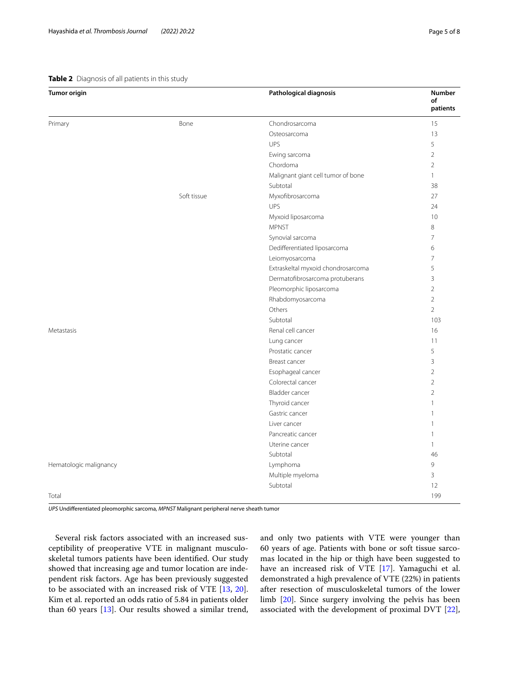### <span id="page-4-0"></span>**Table 2** Diagnosis of all patients in this study

| <b>Tumor origin</b>    |             | Pathological diagnosis             | <b>Number</b><br>of<br>patients |
|------------------------|-------------|------------------------------------|---------------------------------|
| Primary                | Bone        | Chondrosarcoma                     | 15                              |
|                        |             | Osteosarcoma                       | 13                              |
|                        |             | UPS                                | 5                               |
|                        |             | Ewing sarcoma                      | $\overline{2}$                  |
|                        |             | Chordoma                           | $\overline{2}$                  |
|                        |             | Malignant giant cell tumor of bone | $\mathbf{1}$                    |
|                        |             | Subtotal                           | 38                              |
|                        | Soft tissue | Myxofibrosarcoma                   | 27                              |
|                        |             | UPS                                | 24                              |
|                        |             | Myxoid liposarcoma                 | 10                              |
|                        |             | <b>MPNST</b>                       | 8                               |
|                        |             | Synovial sarcoma                   | 7                               |
|                        |             | Dedifferentiated liposarcoma       | 6                               |
|                        |             | Leiomyosarcoma                     | $\overline{7}$                  |
|                        |             | Extraskeltal myxoid chondrosarcoma | 5                               |
|                        |             | Dermatofibrosarcoma protuberans    | 3                               |
|                        |             | Pleomorphic liposarcoma            | $\overline{2}$                  |
|                        |             | Rhabdomyosarcoma                   | $\overline{2}$                  |
|                        |             | Others                             | $\overline{2}$                  |
|                        |             | Subtotal                           | 103                             |
| Metastasis             |             | Renal cell cancer                  | 16                              |
|                        |             | Lung cancer                        | 11                              |
|                        |             | Prostatic cancer                   | 5                               |
|                        |             | Breast cancer                      | $\mathbf{3}$                    |
|                        |             | Esophageal cancer                  | $\overline{2}$                  |
|                        |             | Colorectal cancer                  | $\overline{2}$                  |
|                        |             | Bladder cancer                     | $\overline{2}$                  |
|                        |             | Thyroid cancer                     | 1                               |
|                        |             | Gastric cancer                     |                                 |
|                        |             | Liver cancer                       | $\mathbf{1}$                    |
|                        |             | Pancreatic cancer                  | 1                               |
|                        |             | Uterine cancer                     | $\mathbf{1}$                    |
|                        |             | Subtotal                           | 46                              |
| Hematologic malignancy |             | Lymphoma                           | 9                               |
|                        |             | Multiple myeloma                   | 3                               |
|                        |             | Subtotal                           | 12                              |
| Total                  |             |                                    | 199                             |

*UPS* Undiferentiated pleomorphic sarcoma, *MPNST* Malignant peripheral nerve sheath tumor

Several risk factors associated with an increased susceptibility of preoperative VTE in malignant musculoskeletal tumors patients have been identifed. Our study showed that increasing age and tumor location are independent risk factors. Age has been previously suggested to be associated with an increased risk of VTE [[13,](#page-6-9) [20](#page-6-12)]. Kim et al. reported an odds ratio of 5.84 in patients older than 60 years [[13](#page-6-9)]. Our results showed a similar trend, and only two patients with VTE were younger than 60 years of age. Patients with bone or soft tissue sarcomas located in the hip or thigh have been suggested to have an increased risk of VTE [[17\]](#page-6-11). Yamaguchi et al. demonstrated a high prevalence of VTE (22%) in patients after resection of musculoskeletal tumors of the lower limb [\[20\]](#page-6-12). Since surgery involving the pelvis has been associated with the development of proximal DVT [\[22](#page-6-16)],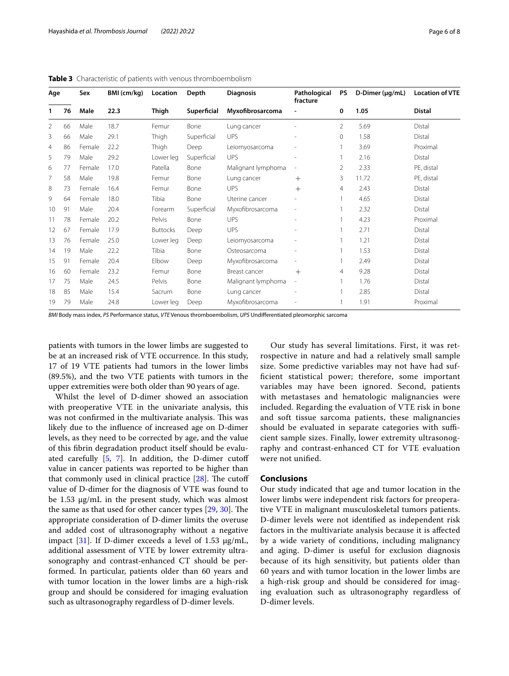| Age |            | Sex    | BMI (cm/kg) | Location        | Depth       | <b>Diagnosis</b>   | Pathological<br>fracture | <b>PS</b>      | $D$ -Dimer ( $\mu$ g/mL) | <b>Location of VTE</b> |  |
|-----|------------|--------|-------------|-----------------|-------------|--------------------|--------------------------|----------------|--------------------------|------------------------|--|
| 1   | 76<br>Male |        | 22.3        | Thigh           | Superficial | Myxofibrosarcoma   |                          | 0              | 1.05                     | <b>Distal</b>          |  |
| 2   | 66         | Male   | 18.7        | Femur           | Bone        | Lung cancer        |                          | $\overline{2}$ | 5.69                     | Distal                 |  |
| 3   | 66         | Male   | 29.1        | Thigh           | Superficial | <b>UPS</b>         |                          | $\Omega$       | 1.58                     | Distal                 |  |
| 4   | 86         | Female | 22.2        | Thigh           | Deep        | Leiomyosarcoma     |                          |                | 3.69                     | Proximal               |  |
| 5   | 79         | Male   | 29.2        | Lower leg       | Superficial | <b>UPS</b>         | $\overline{\phantom{a}}$ |                | 2.16                     | Distal                 |  |
| 6   | 77         | Female | 17.0        | Patella         | Bone        | Malignant lymphoma |                          | 2              | 2.33                     | PE, distal             |  |
| 7   | 58         | Male   | 19.8        | Femur           | Bone        | Lung cancer        | $^{+}$                   | 3              | 11.72                    | PE, distal             |  |
| 8   | 73         | Female | 16.4        | Femur           | Bone        | <b>UPS</b>         | $+$                      | 4              | 2.43                     | Distal                 |  |
| 9   | 64         | Female | 18.0        | Tibia           | Bone        | Uterine cancer     |                          |                | 4.65                     | Distal                 |  |
| 10  | 91         | Male   | 20.4        | Forearm         | Superficial | Myxofibrosarcoma   |                          |                | 2.32                     | Distal                 |  |
| 11  | 78         | Female | 20.2        | Pelvis          | Bone        | <b>UPS</b>         |                          |                | 4.23                     | Proximal               |  |
| 12  | 67         | Female | 17.9        | <b>Buttocks</b> | Deep        | <b>UPS</b>         |                          |                | 2.71                     | Distal                 |  |
| 13  | 76         | Female | 25.0        | Lower leg       | Deep        | Leiomyosarcoma     |                          |                | 1.21                     | Distal                 |  |
| 14  | 19         | Male   | 22.2        | Tibia           | Bone        | Osteosarcoma       |                          |                | 1.53                     | Distal                 |  |
| 15  | 91         | Female | 20.4        | Elbow           | Deep        | Myxofibrosarcoma   |                          |                | 2.49                     | Distal                 |  |
| 16  | 60         | Female | 23.2        | Femur           | Bone        | Breast cancer      | $+$                      | 4              | 9.28                     | Distal                 |  |
| 17  | 75         | Male   | 24.5        | Pelvis          | Bone        | Malignant lymphoma | $\overline{\phantom{a}}$ |                | 1.76                     | Distal                 |  |
| 18  | 85         | Male   | 15.4        | Sacrum          | Bone        | Lung cancer        |                          |                | 2.85                     | Distal                 |  |
| 19  | 79         | Male   | 24.8        | Lower leg       | Deep        | Myxofibrosarcoma   |                          |                | 1.91                     | Proximal               |  |

<span id="page-5-0"></span>**Table 3** Characteristic of patients with venous thromboembolism

*BMI* Body mass index, *PS* Performance status, *VTE* Venous thromboembolism, *UPS* Undiferentiated pleomorphic sarcoma

patients with tumors in the lower limbs are suggested to be at an increased risk of VTE occurrence. In this study, 17 of 19 VTE patients had tumors in the lower limbs (89.5%), and the two VTE patients with tumors in the upper extremities were both older than 90 years of age.

Whilst the level of D-dimer showed an association with preoperative VTE in the univariate analysis, this was not confirmed in the multivariate analysis. This was likely due to the infuence of increased age on D-dimer levels, as they need to be corrected by age, and the value of this fbrin degradation product itself should be evaluated carefully [\[5](#page-6-3), [7\]](#page-6-4). In addition, the D-dimer cutof value in cancer patients was reported to be higher than that commonly used in clinical practice  $[28]$  $[28]$ . The cutoff value of D-dimer for the diagnosis of VTE was found to be 1.53  $\mu$ g/mL in the present study, which was almost the same as that used for other cancer types  $[29, 30]$  $[29, 30]$  $[29, 30]$  $[29, 30]$ . The appropriate consideration of D-dimer limits the overuse and added cost of ultrasonography without a negative impact [\[31](#page-7-6)]. If D-dimer exceeds a level of 1.53  $\mu$ g/mL, additional assessment of VTE by lower extremity ultrasonography and contrast-enhanced CT should be performed. In particular, patients older than 60 years and with tumor location in the lower limbs are a high-risk group and should be considered for imaging evaluation such as ultrasonography regardless of D-dimer levels.

 Our study has several limitations. First, it was retrospective in nature and had a relatively small sample size. Some predictive variables may not have had suffcient statistical power; therefore, some important variables may have been ignored. Second, patients with metastases and hematologic malignancies were included. Regarding the evaluation of VTE risk in bone and soft tissue sarcoma patients, these malignancies should be evaluated in separate categories with sufficient sample sizes. Finally, lower extremity ultrasonography and contrast-enhanced CT for VTE evaluation were not unifed.

## **Conclusions**

Our study indicated that age and tumor location in the lower limbs were independent risk factors for preoperative VTE in malignant musculoskeletal tumors patients. D-dimer levels were not identifed as independent risk factors in the multivariate analysis because it is afected by a wide variety of conditions, including malignancy and aging. D-dimer is useful for exclusion diagnosis because of its high sensitivity, but patients older than 60 years and with tumor location in the lower limbs are a high-risk group and should be considered for imaging evaluation such as ultrasonography regardless of D-dimer levels.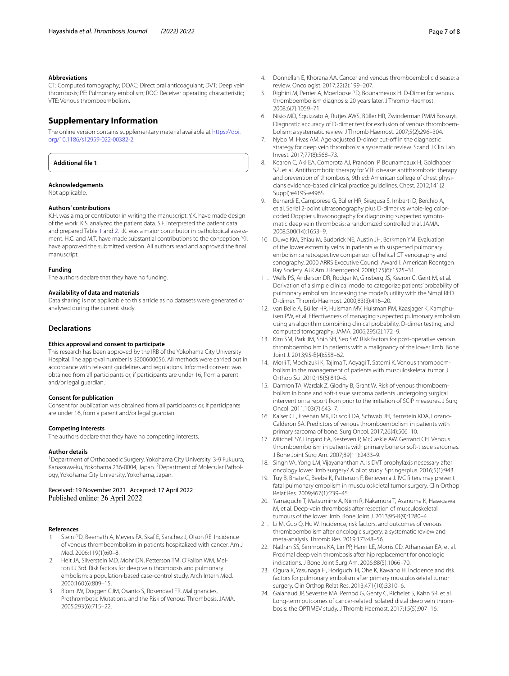CT: Computed tomography; DOAC: Direct oral anticoagulant; DVT: Deep vein thrombosis; PE: Pulmonary embolism; ROC: Receiver operating characteristic; VTE: Venous thromboembolism.

## **Supplementary Information**

The online version contains supplementary material available at [https://doi.](https://doi.org/10.1186/s12959-022-00382-2) [org/10.1186/s12959-022-00382-2](https://doi.org/10.1186/s12959-022-00382-2).

**Additional fle 1**.

#### **Acknowledgements**

Not applicable.

#### **Authors' contributions**

K.H. was a major contributor in writing the manuscript. Y.K. have made design of the work. K.S. analyzed the patient data. S.F. interpreted the patient data and prepared Table [1](#page-3-0) and [2](#page-4-0). I.K. was a major contributor in pathological assessment. H.C. and M.T. have made substantial contributions to the conception. Y.I. have approved the submitted version. All authors read and approved the fnal manuscript.

#### **Funding**

The authors declare that they have no funding.

#### **Availability of data and materials**

Data sharing is not applicable to this article as no datasets were generated or analysed during the current study.

#### **Declarations**

#### **Ethics approval and consent to participate**

This research has been approved by the IRB of the Yokohama City University Hospital. The approval number is B200600056. All methods were carried out in accordance with relevant guidelines and regulations. Informed consent was obtained from all participants or, if participants are under 16, from a parent and/or legal guardian.

#### **Consent for publication**

Consent for publication was obtained from all participants or, if participants are under 16, from a parent and/or legal guardian.

#### **Competing interests**

The authors declare that they have no competing interests.

#### **Author details**

<sup>1</sup> Department of Orthopaedic Surgery, Yokohama City University, 3-9 Fukuura, Kanazawa-ku, Yokohama 236-0004, Japan. <sup>2</sup> Department of Molecular Pathology, Yokohama City University, Yokohama, Japan.

#### Received: 19 November 2021 Accepted: 17 April 2022 Published online: 26 April 2022

#### **References**

- <span id="page-6-0"></span>1. Stein PD, Beemath A, Meyers FA, Skaf E, Sanchez J, Olson RE. Incidence of venous thromboembolism in patients hospitalized with cancer. Am J Med. 2006;119(1):60–8.
- 2. Heit JA, Silverstein MD, Mohr DN, Petterson TM, O'Fallon WM, Melton LJ 3rd. Risk factors for deep vein thrombosis and pulmonary embolism: a population-based case-control study. Arch Intern Med. 2000;160(6):809–15.
- <span id="page-6-1"></span>3. Blom JW, Doggen CJM, Osanto S, Rosendaal FR. Malignancies, Prothrombotic Mutations, and the Risk of Venous Thrombosis. JAMA. 2005;293(6):715–22.
- <span id="page-6-2"></span>4. Donnellan E, Khorana AA. Cancer and venous thromboembolic disease: a review. Oncologist. 2017;22(2):199–207.
- <span id="page-6-3"></span>5. Righini M, Perrier A, Moerloose PD, Bounameaux H. D-Dimer for venous thromboembolism diagnosis: 20 years later. J Thromb Haemost. 2008;6(7):1059–71.
- 6. Nisio MD, Squizzato A, Rutjes AWS, Büller HR, Zwinderman PMM Bossuyt. Diagnostic accuracy of D-dimer test for exclusion of venous thromboembolism: a systematic review. J Thromb Haemost. 2007;5(2):296–304.
- <span id="page-6-4"></span>Nybo M, Hvas AM. Age-adjusted D-dimer cut-off in the diagnostic strategy for deep vein thrombosis: a systematic review. Scand J Clin Lab Invest. 2017;77(8):568–73.
- <span id="page-6-5"></span>8. Kearon C, Akl EA, Comerota AJ, Prandoni P, Bounameaux H, Goldhaber SZ, et al. Antithrombotic therapy for VTE disease: antithrombotic therapy and prevention of thrombosis, 9th ed: American college of chest physicians evidence-based clinical practice guidelines. Chest. 2012;141(2 Suppl):e419S-e496S.
- 9. Bernardi E, Camporese G, Büller HR, Siragusa S, Imberti D, Berchio A, et al. Serial 2-point ultrasonography plus D-dimer vs whole-leg colorcoded Doppler ultrasonography for diagnosing suspected symptomatic deep vein thrombosis: a randomized controlled trial. JAMA. 2008;300(14):1653–9.
- <span id="page-6-6"></span>10 Duwe KM, Shiau M, Budorick NE, Austin JH, Berkmen YM. Evaluation of the lower extremity veins in patients with suspected pulmonary embolism: a retrospective comparison of helical CT venography and sonography. 2000 ARRS Executive Council Award I. American Roentgen Ray Society. AJR Am J Roentgenol. 2000;175(6):1525–31.
- <span id="page-6-7"></span>11. Wells PS, Anderson DR, Rodger M, Ginsberg JS, Kearon C, Gent M, et al. Derivation of a simple clinical model to categorize patients' probability of pulmonary embolism: increasing the model's utility with the SimpliRED D-dimer. Thromb Haemost. 2000;83(3):416–20.
- <span id="page-6-8"></span>12. van Belle A, Büller HR, Huisman MV, Huisman PM, Kaasjager K, Kamphuisen PW, et al. Efectiveness of managing suspected pulmonary embolism using an algorithm combining clinical probability, D-dimer testing, and computed tomography. JAMA. 2006;295(2):172–9.
- <span id="page-6-9"></span>13. Kim SM, Park JM, Shin SH, Seo SW. Risk factors for post-operative venous thromboembolism in patients with a malignancy of the lower limb. Bone Joint J. 2013;95-B(4):558–62.
- 14. Morii T, Mochizuki K, Tajima T, Aoyagi T, Satomi K. Venous thromboembolism in the management of patients with musculoskeletal tumor. J Orthop Sci. 2010;15(6):810–5.
- <span id="page-6-14"></span>15. Damron TA, Wardak Z, Glodny B, Grant W. Risk of venous thromboembolism in bone and soft-tissue sarcoma patients undergoing surgical intervention: a report from prior to the initiation of SCIP measures. J Surg Oncol. 2011;103(7):643–7.
- 16. Kaiser CL, Freehan MK, Driscoll DA, Schwab JH, Bernstein KDA, Lozano-Calderon SA. Predictors of venous thromboembolism in patients with primary sarcoma of bone. Surg Oncol. 2017;26(4):506–10.
- <span id="page-6-11"></span>17. Mitchell SY, Lingard EA, Kesteven P, McCaskie AW, Gerrand CH. Venous thromboembolism in patients with primary bone or soft-tissue sarcomas. J Bone Joint Surg Am. 2007;89(11):2433–9.
- <span id="page-6-15"></span>18. Singh VA, Yong LM, Vijayananthan A. Is DVT prophylaxis necessary after oncology lower limb surgery? A pilot study. Springerplus. 2016;5(1):943.
- 19. Tuy B, Bhate C, Beebe K, Patterson F, Benevenia J. IVC flters may prevent fatal pulmonary embolism in musculoskeletal tumor surgery. Clin Orthop Relat Res. 2009;467(1):239–45.
- <span id="page-6-12"></span>20. Yamaguchi T, Matsumine A, Niimi R, Nakamura T, Asanuma K, Hasegawa M, et al. Deep-vein thrombosis after resection of musculoskeletal tumours of the lower limb. Bone Joint J. 2013;95-B(9):1280–4.
- <span id="page-6-10"></span>21. Li M, Guo Q, Hu W. Incidence, risk factors, and outcomes of venous thromboembolism after oncologic surgery: a systematic review and meta-analysis. Thromb Res. 2019;173:48–56.
- <span id="page-6-16"></span>22. Nathan SS, Simmons KA, Lin PP, Hann LE, Morris CD, Athanasian EA, et al. Proximal deep vein thrombosis after hip replacement for oncologic indications. J Bone Joint Surg Am. 2006;88(5):1066–70.
- <span id="page-6-13"></span>23. Ogura K, Yasunaga H, Horiguchi H, Ohe K, Kawano H. Incidence and risk factors for pulmonary embolism after primary musculoskeletal tumor surgery. Clin Orthop Relat Res. 2013;471(10):3310–6.
- <span id="page-6-17"></span>24. Galanaud JP, Sevestre MA, Pernod G, Genty C, Richelet S, Kahn SR, et al. Long-term outcomes of cancer-related isolated distal deep vein thrombosis: the OPTIMEV study. J Thromb Haemost. 2017;15(5):907–16.